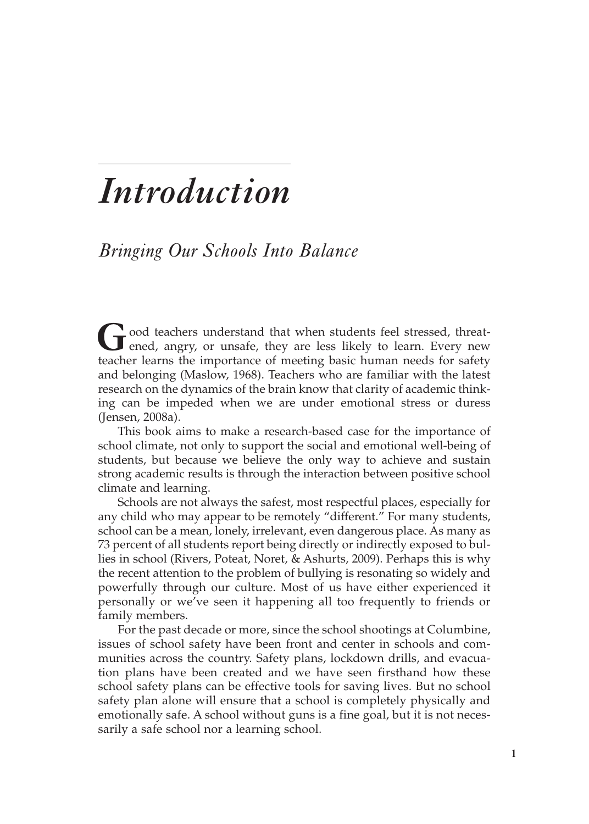# *Introduction*

# *Bringing Our Schools Into Balance*

**G**ood teachers understand that when students feel stressed, threatened, angry, or unsafe, they are less likely to learn. Every new teacher learns the importance of meeting basic human needs for safety and belonging (Maslow, 1968). Teachers who are familiar with the latest research on the dynamics of the brain know that clarity of academic thinking can be impeded when we are under emotional stress or duress (Jensen, 2008a).

This book aims to make a research-based case for the importance of school climate, not only to support the social and emotional well-being of students, but because we believe the only way to achieve and sustain strong academic results is through the interaction between positive school climate and learning.

Schools are not always the safest, most respectful places, especially for any child who may appear to be remotely "different." For many students, school can be a mean, lonely, irrelevant, even dangerous place. As many as 73 percent of all students report being directly or indirectly exposed to bullies in school (Rivers, Poteat, Noret, & Ashurts, 2009). Perhaps this is why the recent attention to the problem of bullying is resonating so widely and powerfully through our culture. Most of us have either experienced it personally or we've seen it happening all too frequently to friends or family members.

For the past decade or more, since the school shootings at Columbine, issues of school safety have been front and center in schools and communities across the country. Safety plans, lockdown drills, and evacuation plans have been created and we have seen firsthand how these school safety plans can be effective tools for saving lives. But no school safety plan alone will ensure that a school is completely physically and emotionally safe. A school without guns is a fine goal, but it is not necessarily a safe school nor a learning school.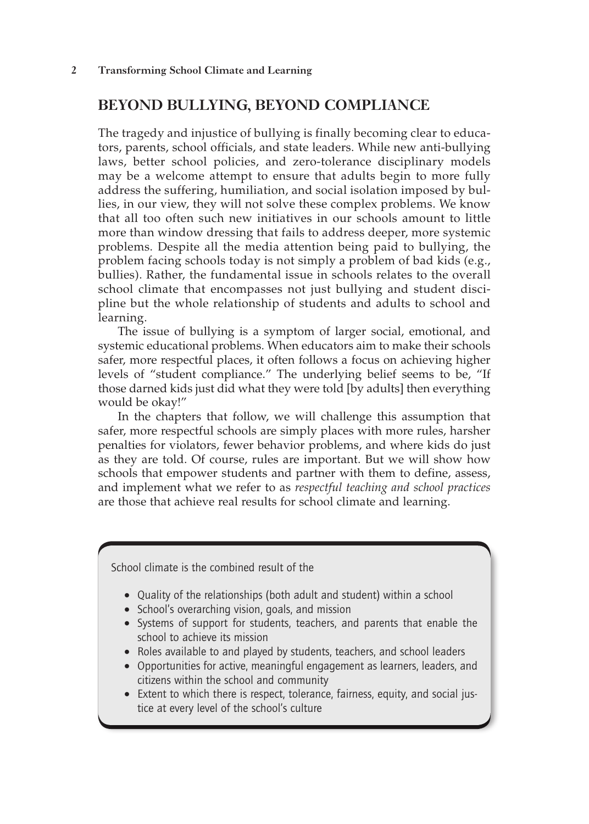#### **BEYOND BULLYING, BEYOND COMPLIANCE**

The tragedy and injustice of bullying is finally becoming clear to educators, parents, school officials, and state leaders. While new anti-bullying laws, better school policies, and zero-tolerance disciplinary models may be a welcome attempt to ensure that adults begin to more fully address the suffering, humiliation, and social isolation imposed by bullies, in our view, they will not solve these complex problems. We know that all too often such new initiatives in our schools amount to little more than window dressing that fails to address deeper, more systemic problems. Despite all the media attention being paid to bullying, the problem facing schools today is not simply a problem of bad kids (e.g., bullies). Rather, the fundamental issue in schools relates to the overall school climate that encompasses not just bullying and student discipline but the whole relationship of students and adults to school and learning.

The issue of bullying is a symptom of larger social, emotional, and systemic educational problems. When educators aim to make their schools safer, more respectful places, it often follows a focus on achieving higher levels of "student compliance." The underlying belief seems to be, "If those darned kids just did what they were told [by adults] then everything would be okay!"

In the chapters that follow, we will challenge this assumption that safer, more respectful schools are simply places with more rules, harsher penalties for violators, fewer behavior problems, and where kids do just as they are told. Of course, rules are important. But we will show how schools that empower students and partner with them to define, assess, and implement what we refer to as *respectful teaching and school practices* are those that achieve real results for school climate and learning.

School climate is the combined result of the

- Quality of the relationships (both adult and student) within a school
- School's overarching vision, goals, and mission
- Systems of support for students, teachers, and parents that enable the school to achieve its mission
- Roles available to and played by students, teachers, and school leaders
- Opportunities for active, meaningful engagement as learners, leaders, and citizens within the school and community
- Extent to which there is respect, tolerance, fairness, equity, and social justice at every level of the school's culture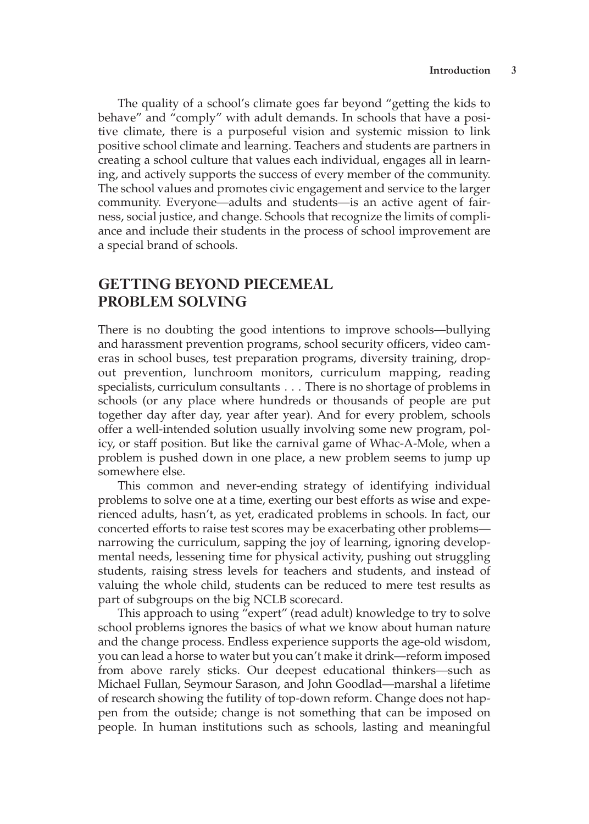The quality of a school's climate goes far beyond "getting the kids to behave" and "comply" with adult demands. In schools that have a positive climate, there is a purposeful vision and systemic mission to link positive school climate and learning. Teachers and students are partners in creating a school culture that values each individual, engages all in learning, and actively supports the success of every member of the community. The school values and promotes civic engagement and service to the larger community. Everyone—adults and students—is an active agent of fairness, social justice, and change. Schools that recognize the limits of compliance and include their students in the process of school improvement are a special brand of schools.

## **GETTING BEYOND PIECEMEAL PROBLEM SOLVING**

There is no doubting the good intentions to improve schools—bullying and harassment prevention programs, school security officers, video cameras in school buses, test preparation programs, diversity training, dropout prevention, lunchroom monitors, curriculum mapping, reading specialists, curriculum consultants . . . There is no shortage of problems in schools (or any place where hundreds or thousands of people are put together day after day, year after year). And for every problem, schools offer a well-intended solution usually involving some new program, policy, or staff position. But like the carnival game of Whac-A-Mole, when a problem is pushed down in one place, a new problem seems to jump up somewhere else.

This common and never-ending strategy of identifying individual problems to solve one at a time, exerting our best efforts as wise and experienced adults, hasn't, as yet, eradicated problems in schools. In fact, our concerted efforts to raise test scores may be exacerbating other problems narrowing the curriculum, sapping the joy of learning, ignoring developmental needs, lessening time for physical activity, pushing out struggling students, raising stress levels for teachers and students, and instead of valuing the whole child, students can be reduced to mere test results as part of subgroups on the big NCLB scorecard.

This approach to using "expert" (read adult) knowledge to try to solve school problems ignores the basics of what we know about human nature and the change process. Endless experience supports the age-old wisdom, you can lead a horse to water but you can't make it drink—reform imposed from above rarely sticks. Our deepest educational thinkers—such as Michael Fullan, Seymour Sarason, and John Goodlad—marshal a lifetime of research showing the futility of top-down reform. Change does not happen from the outside; change is not something that can be imposed on people. In human institutions such as schools, lasting and meaningful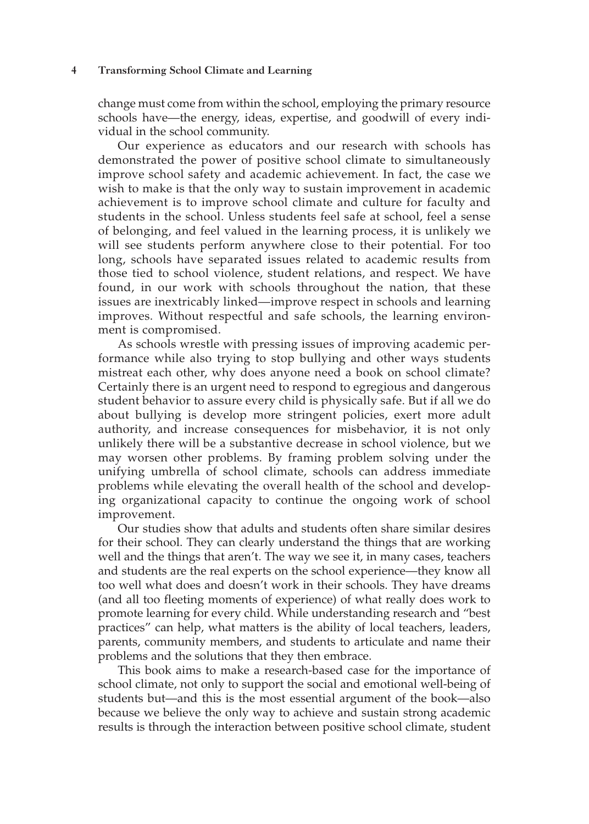#### **4 Transforming School Climate and Learning**

change must come from within the school, employing the primary resource schools have—the energy, ideas, expertise, and goodwill of every individual in the school community.

Our experience as educators and our research with schools has demonstrated the power of positive school climate to simultaneously improve school safety and academic achievement. In fact, the case we wish to make is that the only way to sustain improvement in academic achievement is to improve school climate and culture for faculty and students in the school. Unless students feel safe at school, feel a sense of belonging, and feel valued in the learning process, it is unlikely we will see students perform anywhere close to their potential. For too long, schools have separated issues related to academic results from those tied to school violence, student relations, and respect. We have found, in our work with schools throughout the nation, that these issues are inextricably linked—improve respect in schools and learning improves. Without respectful and safe schools, the learning environment is compromised.

As schools wrestle with pressing issues of improving academic performance while also trying to stop bullying and other ways students mistreat each other, why does anyone need a book on school climate? Certainly there is an urgent need to respond to egregious and dangerous student behavior to assure every child is physically safe. But if all we do about bullying is develop more stringent policies, exert more adult authority, and increase consequences for misbehavior, it is not only unlikely there will be a substantive decrease in school violence, but we may worsen other problems. By framing problem solving under the unifying umbrella of school climate, schools can address immediate problems while elevating the overall health of the school and developing organizational capacity to continue the ongoing work of school improvement.

Our studies show that adults and students often share similar desires for their school. They can clearly understand the things that are working well and the things that aren't. The way we see it, in many cases, teachers and students are the real experts on the school experience—they know all too well what does and doesn't work in their schools. They have dreams (and all too fleeting moments of experience) of what really does work to promote learning for every child. While understanding research and "best practices" can help, what matters is the ability of local teachers, leaders, parents, community members, and students to articulate and name their problems and the solutions that they then embrace.

This book aims to make a research-based case for the importance of school climate, not only to support the social and emotional well-being of students but—and this is the most essential argument of the book—also because we believe the only way to achieve and sustain strong academic results is through the interaction between positive school climate, student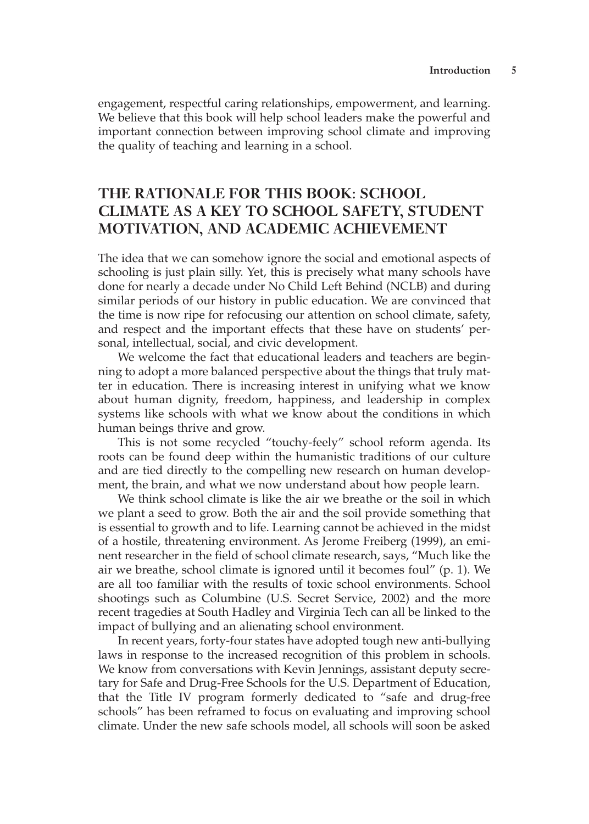engagement, respectful caring relationships, empowerment, and learning. We believe that this book will help school leaders make the powerful and important connection between improving school climate and improving the quality of teaching and learning in a school.

## **THE RATIONALE FOR THIS BOOK: SCHOOL CLIMATE AS A KEY TO SCHOOL SAFETY, STUDENT MOTIVATION, AND ACADEMIC ACHIEVEMENT**

The idea that we can somehow ignore the social and emotional aspects of schooling is just plain silly. Yet, this is precisely what many schools have done for nearly a decade under No Child Left Behind (NCLB) and during similar periods of our history in public education. We are convinced that the time is now ripe for refocusing our attention on school climate, safety, and respect and the important effects that these have on students' personal, intellectual, social, and civic development.

We welcome the fact that educational leaders and teachers are beginning to adopt a more balanced perspective about the things that truly matter in education. There is increasing interest in unifying what we know about human dignity, freedom, happiness, and leadership in complex systems like schools with what we know about the conditions in which human beings thrive and grow.

This is not some recycled "touchy-feely" school reform agenda. Its roots can be found deep within the humanistic traditions of our culture and are tied directly to the compelling new research on human development, the brain, and what we now understand about how people learn.

We think school climate is like the air we breathe or the soil in which we plant a seed to grow. Both the air and the soil provide something that is essential to growth and to life. Learning cannot be achieved in the midst of a hostile, threatening environment. As Jerome Freiberg (1999), an eminent researcher in the field of school climate research, says, "Much like the air we breathe, school climate is ignored until it becomes foul" (p. 1). We are all too familiar with the results of toxic school environments. School shootings such as Columbine (U.S. Secret Service, 2002) and the more recent tragedies at South Hadley and Virginia Tech can all be linked to the impact of bullying and an alienating school environment.

In recent years, forty-four states have adopted tough new anti-bullying laws in response to the increased recognition of this problem in schools. We know from conversations with Kevin Jennings, assistant deputy secretary for Safe and Drug-Free Schools for the U.S. Department of Education, that the Title IV program formerly dedicated to "safe and drug-free schools" has been reframed to focus on evaluating and improving school climate. Under the new safe schools model, all schools will soon be asked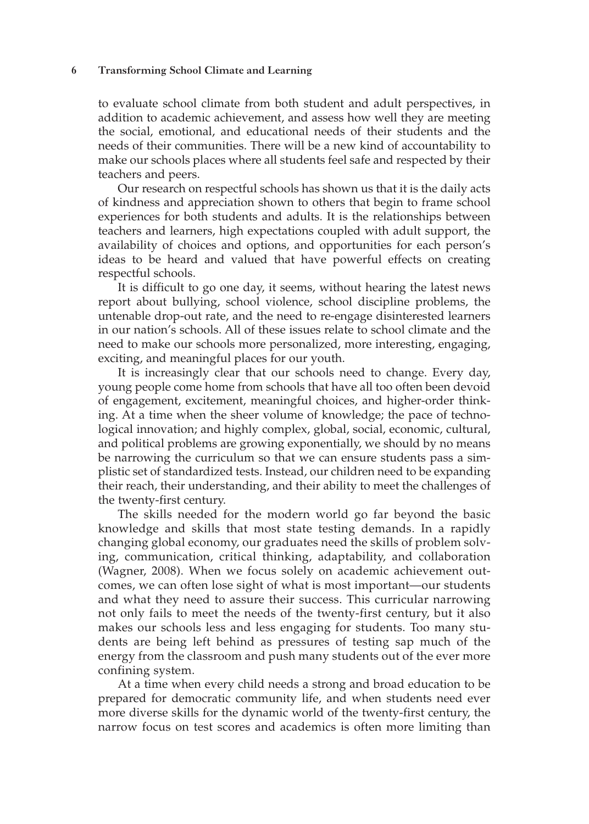#### **6 Transforming School Climate and Learning**

to evaluate school climate from both student and adult perspectives, in addition to academic achievement, and assess how well they are meeting the social, emotional, and educational needs of their students and the needs of their communities. There will be a new kind of accountability to make our schools places where all students feel safe and respected by their teachers and peers.

Our research on respectful schools has shown us that it is the daily acts of kindness and appreciation shown to others that begin to frame school experiences for both students and adults. It is the relationships between teachers and learners, high expectations coupled with adult support, the availability of choices and options, and opportunities for each person's ideas to be heard and valued that have powerful effects on creating respectful schools.

It is difficult to go one day, it seems, without hearing the latest news report about bullying, school violence, school discipline problems, the untenable drop-out rate, and the need to re-engage disinterested learners in our nation's schools. All of these issues relate to school climate and the need to make our schools more personalized, more interesting, engaging, exciting, and meaningful places for our youth.

It is increasingly clear that our schools need to change. Every day, young people come home from schools that have all too often been devoid of engagement, excitement, meaningful choices, and higher-order thinking. At a time when the sheer volume of knowledge; the pace of technological innovation; and highly complex, global, social, economic, cultural, and political problems are growing exponentially, we should by no means be narrowing the curriculum so that we can ensure students pass a simplistic set of standardized tests. Instead, our children need to be expanding their reach, their understanding, and their ability to meet the challenges of the twenty-first century.

The skills needed for the modern world go far beyond the basic knowledge and skills that most state testing demands. In a rapidly changing global economy, our graduates need the skills of problem solving, communication, critical thinking, adaptability, and collaboration (Wagner, 2008). When we focus solely on academic achievement outcomes, we can often lose sight of what is most important—our students and what they need to assure their success. This curricular narrowing not only fails to meet the needs of the twenty-first century, but it also makes our schools less and less engaging for students. Too many students are being left behind as pressures of testing sap much of the energy from the classroom and push many students out of the ever more confining system.

At a time when every child needs a strong and broad education to be prepared for democratic community life, and when students need ever more diverse skills for the dynamic world of the twenty-first century, the narrow focus on test scores and academics is often more limiting than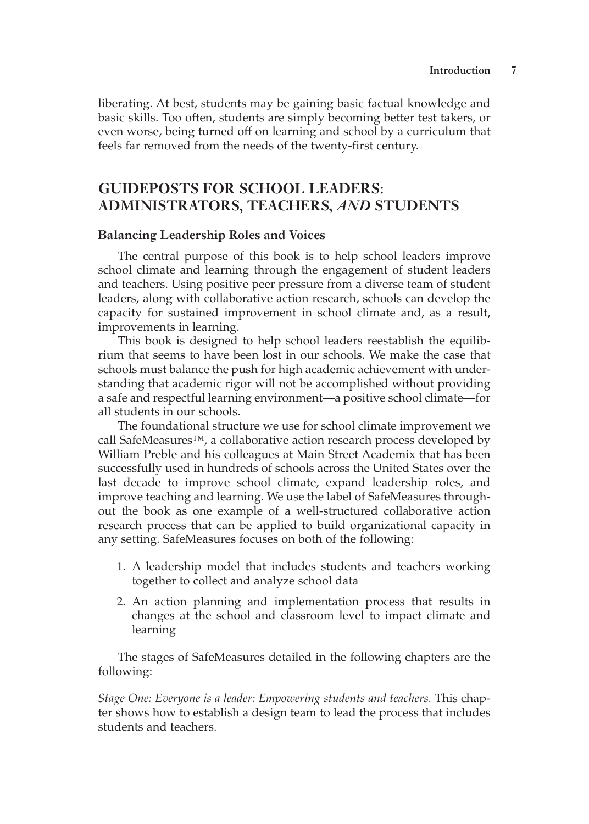liberating. At best, students may be gaining basic factual knowledge and basic skills. Too often, students are simply becoming better test takers, or even worse, being turned off on learning and school by a curriculum that feels far removed from the needs of the twenty-first century.

## **GUIDEPOSTS FOR SCHOOL LEADERS: ADMINISTRATORS, TEACHERS,** *AND* **STUDENTS**

#### **Balancing Leadership Roles and Voices**

The central purpose of this book is to help school leaders improve school climate and learning through the engagement of student leaders and teachers. Using positive peer pressure from a diverse team of student leaders, along with collaborative action research, schools can develop the capacity for sustained improvement in school climate and, as a result, improvements in learning.

This book is designed to help school leaders reestablish the equilibrium that seems to have been lost in our schools. We make the case that schools must balance the push for high academic achievement with understanding that academic rigor will not be accomplished without providing a safe and respectful learning environment—a positive school climate—for all students in our schools.

The foundational structure we use for school climate improvement we call SafeMeasures™, a collaborative action research process developed by William Preble and his colleagues at Main Street Academix that has been successfully used in hundreds of schools across the United States over the last decade to improve school climate, expand leadership roles, and improve teaching and learning. We use the label of SafeMeasures throughout the book as one example of a well-structured collaborative action research process that can be applied to build organizational capacity in any setting. SafeMeasures focuses on both of the following:

- 1. A leadership model that includes students and teachers working together to collect and analyze school data
- 2. An action planning and implementation process that results in changes at the school and classroom level to impact climate and learning

The stages of SafeMeasures detailed in the following chapters are the following:

*Stage One: Everyone is a leader: Empowering students and teachers.* This chapter shows how to establish a design team to lead the process that includes students and teachers.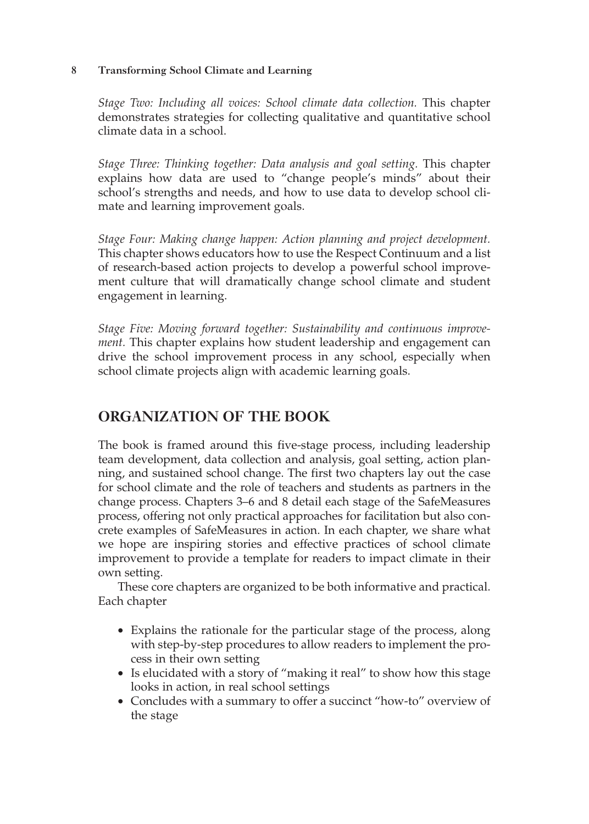#### **8 Transforming School Climate and Learning**

*Stage Two: Including all voices: School climate data collection.* This chapter demonstrates strategies for collecting qualitative and quantitative school climate data in a school.

*Stage Three: Thinking together: Data analysis and goal setting.* This chapter explains how data are used to "change people's minds" about their school's strengths and needs, and how to use data to develop school climate and learning improvement goals.

*Stage Four: Making change happen: Action planning and project development.*  This chapter shows educators how to use the Respect Continuum and a list of research-based action projects to develop a powerful school improvement culture that will dramatically change school climate and student engagement in learning.

*Stage Five: Moving forward together: Sustainability and continuous improvement.* This chapter explains how student leadership and engagement can drive the school improvement process in any school, especially when school climate projects align with academic learning goals.

# **ORGANIZATION OF THE BOOK**

The book is framed around this five-stage process, including leadership team development, data collection and analysis, goal setting, action planning, and sustained school change. The first two chapters lay out the case for school climate and the role of teachers and students as partners in the change process. Chapters 3–6 and 8 detail each stage of the SafeMeasures process, offering not only practical approaches for facilitation but also concrete examples of SafeMeasures in action. In each chapter, we share what we hope are inspiring stories and effective practices of school climate improvement to provide a template for readers to impact climate in their own setting.

These core chapters are organized to be both informative and practical. Each chapter

- Explains the rationale for the particular stage of the process, along with step-by-step procedures to allow readers to implement the process in their own setting
- Is elucidated with a story of "making it real" to show how this stage looks in action, in real school settings
- Concludes with a summary to offer a succinct "how-to" overview of the stage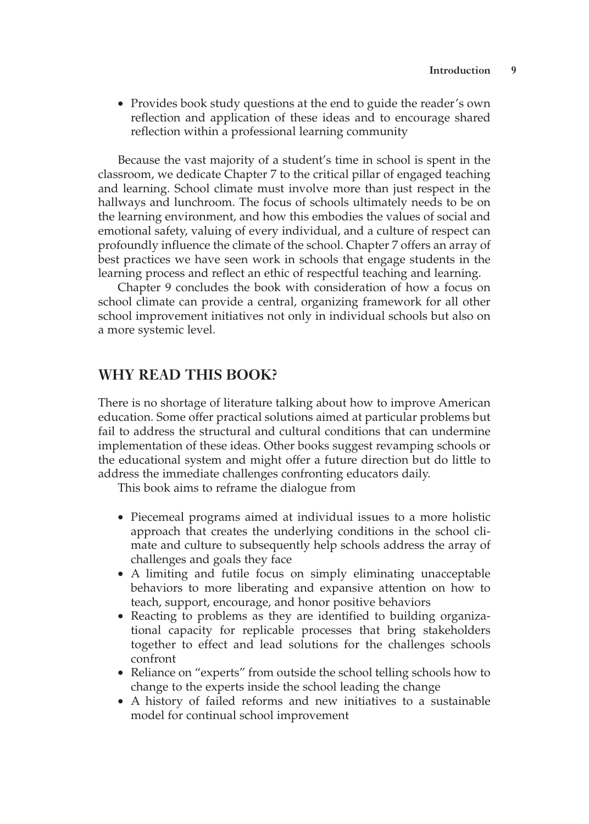• Provides book study questions at the end to guide the reader's own reflection and application of these ideas and to encourage shared reflection within a professional learning community

Because the vast majority of a student's time in school is spent in the classroom, we dedicate Chapter 7 to the critical pillar of engaged teaching and learning. School climate must involve more than just respect in the hallways and lunchroom. The focus of schools ultimately needs to be on the learning environment, and how this embodies the values of social and emotional safety, valuing of every individual, and a culture of respect can profoundly influence the climate of the school. Chapter 7 offers an array of best practices we have seen work in schools that engage students in the learning process and reflect an ethic of respectful teaching and learning.

Chapter 9 concludes the book with consideration of how a focus on school climate can provide a central, organizing framework for all other school improvement initiatives not only in individual schools but also on a more systemic level.

#### **WHY READ THIS BOOK?**

There is no shortage of literature talking about how to improve American education. Some offer practical solutions aimed at particular problems but fail to address the structural and cultural conditions that can undermine implementation of these ideas. Other books suggest revamping schools or the educational system and might offer a future direction but do little to address the immediate challenges confronting educators daily.

This book aims to reframe the dialogue from

- Piecemeal programs aimed at individual issues to a more holistic approach that creates the underlying conditions in the school climate and culture to subsequently help schools address the array of challenges and goals they face
- A limiting and futile focus on simply eliminating unacceptable behaviors to more liberating and expansive attention on how to teach, support, encourage, and honor positive behaviors
- Reacting to problems as they are identified to building organizational capacity for replicable processes that bring stakeholders together to effect and lead solutions for the challenges schools confront
- Reliance on "experts" from outside the school telling schools how to change to the experts inside the school leading the change
- A history of failed reforms and new initiatives to a sustainable model for continual school improvement